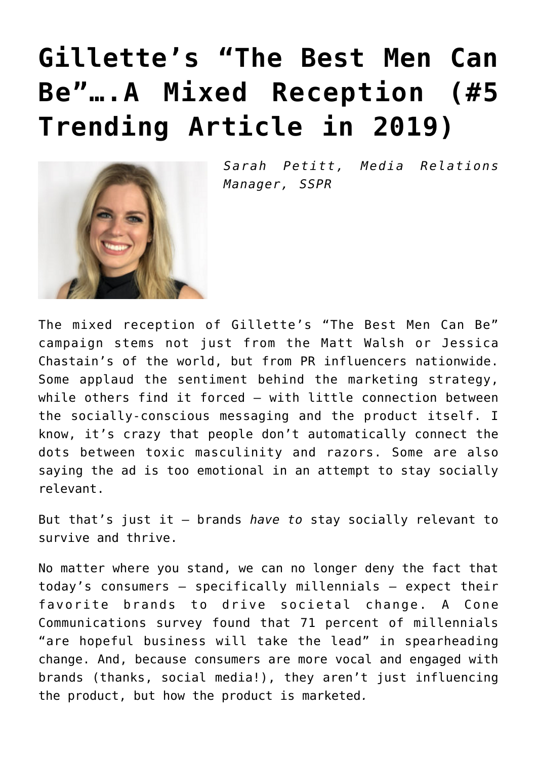## **[Gillette's "The Best Men Can](https://www.commpro.biz/gillettes-the-best-men-can-be-a-mixed-reception/) [Be"….A Mixed Reception \(#5](https://www.commpro.biz/gillettes-the-best-men-can-be-a-mixed-reception/) [Trending Article in 2019\)](https://www.commpro.biz/gillettes-the-best-men-can-be-a-mixed-reception/)**



*Sarah Petitt, Media Relations Manager, [SSPR](https://sspr.com/)*

The mixed reception of Gillette's "The Best Men Can Be" campaign stems not just from the [Matt Walsh](https://www.thedailybeast.com/fox-and-friends-guest-gillette-ad-same-as-showing-women-gossiping-nagging) or [Jessica](https://twitter.com/jes_chastain/status/1085349480734572549) [Chastain's](https://twitter.com/jes_chastain/status/1085349480734572549) of the world, but from [PR](https://www.commpro.biz/public-relations-section/) influencers nationwide. Some applaud the sentiment behind the marketing strategy, while others find it forced – with little connection between the socially-conscious messaging and the product itself. I know, it's crazy that people don't automatically connect the dots between toxic masculinity and razors. Some are also saying the ad is too emotional in an attempt to stay socially relevant.

But that's just it – brands *have to* stay socially relevant to survive and thrive.

No matter where you stand, we can no longer deny the fact that today's consumers – specifically millennials – expect their favorite brands to drive societal change. A Cone Communications [survey](https://www.conecomm.com/2017-cone-communications-csr-study-pdf#page=6) found that 71 percent of millennials "are hopeful business will take the lead" in spearheading change. And, because consumers are more vocal and engaged with brands (thanks, social media!), they aren't just influencing the product, but how the product is marketed*.*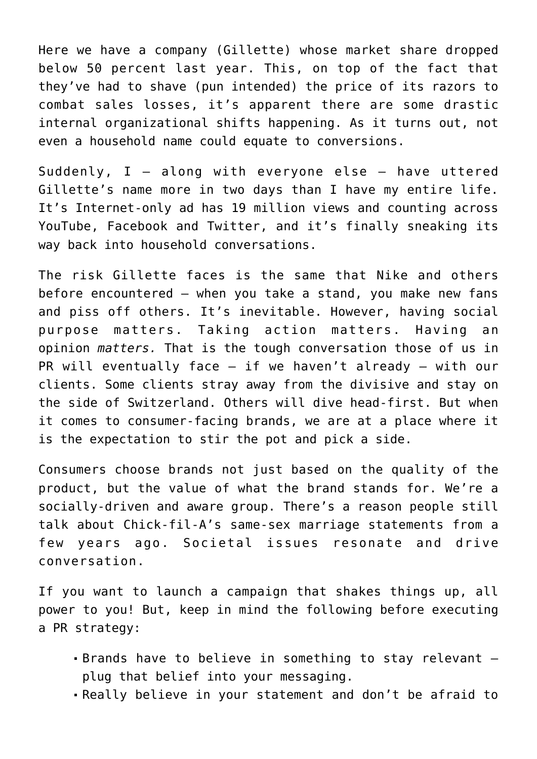Here we have a company (Gillette) whose market share dropped below 50 percent last year. This, on top of the fact that they've had to shave (pun intended) the price of its razors to combat sales losses, it's apparent there are some drastic internal organizational shifts happening. As it turns out, not even a household name could equate to conversions.

Suddenly,  $I - along with everyone else - have uttered$ Gillette's name more in two days than I have my entire life. It's Internet-only ad has 19 million views and counting across YouTube, Facebook and Twitter, and it's finally sneaking its way back into household conversations.

The risk Gillette faces is the same that [Nike](https://abcnews.go.com/Business/nike-sales-booming-kaepernick-ad-invalidating-critics/story?id=59957137) and others before encountered – when you take a stand, you make new fans and piss off others. It's inevitable. However, having social purpose matters. Taking action matters. Having an opinion *matters.* That is the tough conversation those of us in PR will eventually face  $-$  if we haven't already  $-$  with our clients. Some clients stray away from the divisive and stay on the side of Switzerland. Others will dive head-first. But when it comes to consumer-facing brands, we are at a place where it is the expectation to stir the pot and pick a side.

Consumers choose brands not just based on the quality of the product, but the value of what the brand stands for. We're a socially-driven and aware group. There's a reason people still talk about Chick-fil-A's same-sex marriage statements from a few years ago. Societal issues resonate and drive conversation.

If you want to launch a campaign that shakes things up, all power to you! But, keep in mind the following before executing a PR strategy:

- Brands have to believe in something to stay relevant plug that belief into your messaging.
- Really believe in your statement and don't be afraid to